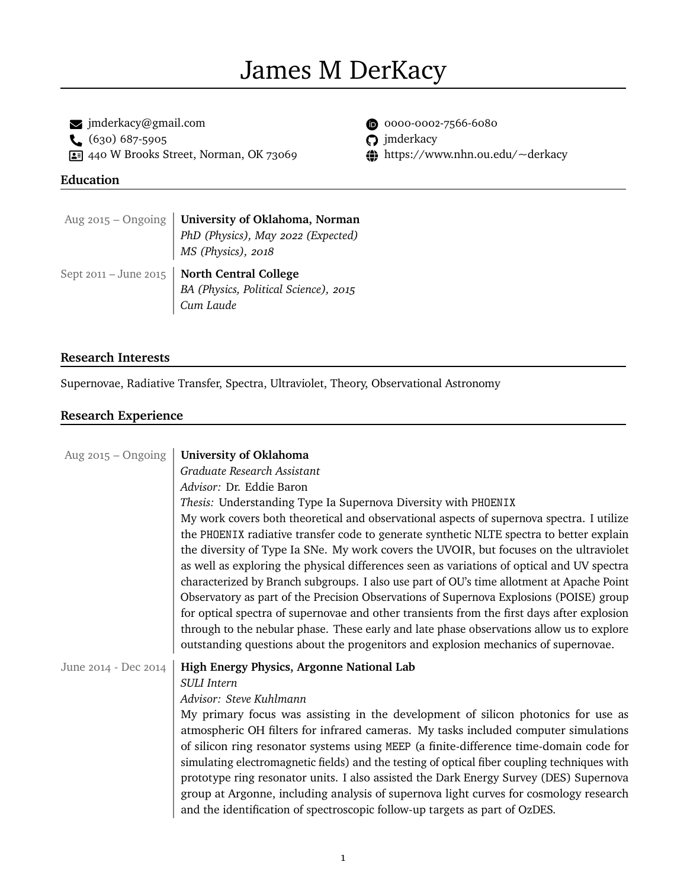# James M DerKacy

 $\bullet$  [jmderkacy@gmail.com](mailto:jmderkacy@gmail.com)  $\bullet$  [0000-0002-7566-6080](https://orcid.org/0000-0002-7566-6080)<br>  $\bullet$  (630) 687-5905  $\bullet$  (7) jmderkacy  $\bigcup$  (630) 687-5905 -440 W Brooks Street, Norman, OK 73069 ~ <https://www.nhn.ou.edu/~derkacy>

- 
- 
- 

## **Education**

| Aug 2015 – Ongoing   University of Oklahoma, Norman      |
|----------------------------------------------------------|
|                                                          |
| PhD (Physics), May 2022 (Expected)<br>MS (Physics), 2018 |
|                                                          |
| Sept 2011 - June 2015   North Central College            |
| BA (Physics, Political Science), 2015                    |

## **Research Interests**

Supernovae, Radiative Transfer, Spectra, Ultraviolet, Theory, Observational Astronomy

# **Research Experience**

| Aug $2015 - Ongoing$ | University of Oklahoma                                                                       |
|----------------------|----------------------------------------------------------------------------------------------|
|                      | Graduate Research Assistant                                                                  |
|                      | Advisor: Dr. Eddie Baron                                                                     |
|                      | Thesis: Understanding Type Ia Supernova Diversity with PHOENIX                               |
|                      | My work covers both theoretical and observational aspects of supernova spectra. I utilize    |
|                      | the PHOENIX radiative transfer code to generate synthetic NLTE spectra to better explain     |
|                      | the diversity of Type Ia SNe. My work covers the UVOIR, but focuses on the ultraviolet       |
|                      | as well as exploring the physical differences seen as variations of optical and UV spectra   |
|                      | characterized by Branch subgroups. I also use part of OU's time allotment at Apache Point    |
|                      | Observatory as part of the Precision Observations of Supernova Explosions (POISE) group      |
|                      | for optical spectra of supernovae and other transients from the first days after explosion   |
|                      | through to the nebular phase. These early and late phase observations allow us to explore    |
|                      | outstanding questions about the progenitors and explosion mechanics of supernovae.           |
| June 2014 - Dec 2014 | High Energy Physics, Argonne National Lab                                                    |
|                      | <b>SULI</b> Intern                                                                           |
|                      | Advisor: Steve Kuhlmann                                                                      |
|                      | My primary focus was assisting in the development of silicon photonics for use as            |
|                      | atmospheric OH filters for infrared cameras. My tasks included computer simulations          |
|                      | of silicon ring resonator systems using MEEP (a finite-difference time-domain code for       |
|                      | simulating electromagnetic fields) and the testing of optical fiber coupling techniques with |
|                      | prototype ring resonator units. I also assisted the Dark Energy Survey (DES) Supernova       |
|                      | group at Argonne, including analysis of supernova light curves for cosmology research        |
|                      | and the identification of spectroscopic follow-up targets as part of OzDES.                  |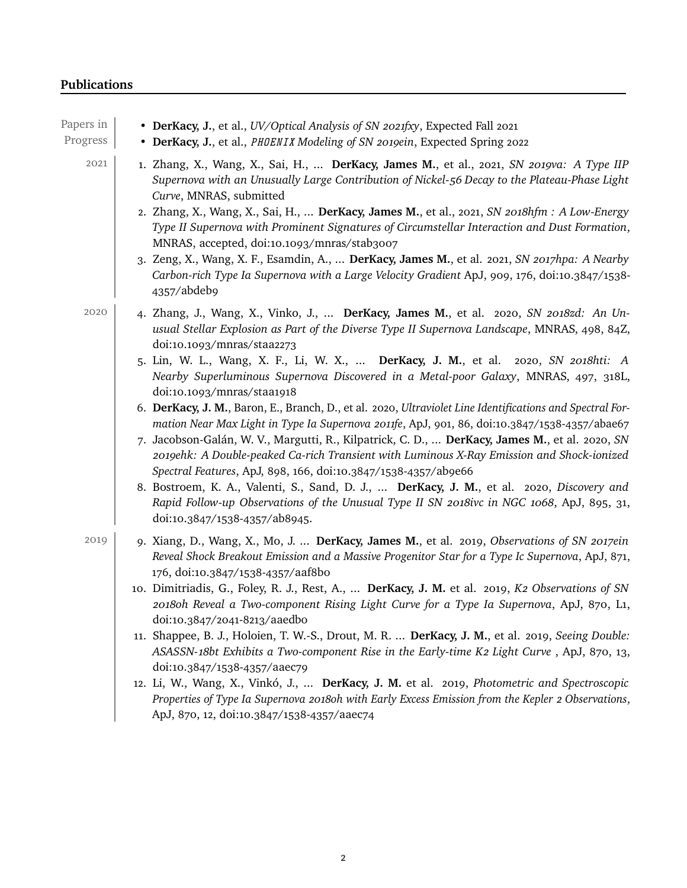# **Publications**

| Papers in<br>Progress | • DerKacy, J., et al., UV/Optical Analysis of SN 2021fxy, Expected Fall 2021<br>• DerKacy, J., et al., PHOENIX Modeling of SN 2019ein, Expected Spring 2022                                                                                                                                                                                                                                                                                                                                                                                                                                                                                                                                                                                                                                                                                                                                                                                                                                                                                                                                                                              |
|-----------------------|------------------------------------------------------------------------------------------------------------------------------------------------------------------------------------------------------------------------------------------------------------------------------------------------------------------------------------------------------------------------------------------------------------------------------------------------------------------------------------------------------------------------------------------------------------------------------------------------------------------------------------------------------------------------------------------------------------------------------------------------------------------------------------------------------------------------------------------------------------------------------------------------------------------------------------------------------------------------------------------------------------------------------------------------------------------------------------------------------------------------------------------|
| 2021                  | 1. Zhang, X., Wang, X., Sai, H.,  DerKacy, James M., et al., 2021, SN 2019va: A Type IIP<br>Supernova with an Unusually Large Contribution of Nickel-56 Decay to the Plateau-Phase Light<br>Curve, MNRAS, submitted<br>2. Zhang, X., Wang, X., Sai, H.,  DerKacy, James M., et al., 2021, SN 2018hfm : A Low-Energy<br>Type II Supernova with Prominent Signatures of Circumstellar Interaction and Dust Formation,<br>MNRAS, accepted, doi:10.1093/mnras/stab3007<br>3. Zeng, X., Wang, X. F., Esamdin, A.,  DerKacy, James M., et al. 2021, SN 2017hpa: A Nearby<br>Carbon-rich Type Ia Supernova with a Large Velocity Gradient ApJ, 909, 176, doi:10.3847/1538-<br>4357/abdeb9                                                                                                                                                                                                                                                                                                                                                                                                                                                       |
| 2020                  | 4. Zhang, J., Wang, X., Vinko, J.,  DerKacy, James M., et al. 2020, SN 2018zd: An Un-<br>usual Stellar Explosion as Part of the Diverse Type II Supernova Landscape, MNRAS, 498, 84Z,<br>doi:10.1093/mnras/staa2273<br>5. Lin, W. L., Wang, X. F., Li, W. X.,  DerKacy, J. M., et al. 2020, SN 2018hti: A<br>Nearby Superluminous Supernova Discovered in a Metal-poor Galaxy, MNRAS, 497, 318L,<br>doi:10.1093/mnras/staa1918<br>6. DerKacy, J. M., Baron, E., Branch, D., et al. 2020, Ultraviolet Line Identifications and Spectral For-<br>mation Near Max Light in Type Ia Supernova 2011fe, ApJ, 901, 86, doi:10.3847/1538-4357/abae67<br>7. Jacobson-Galán, W. V., Margutti, R., Kilpatrick, C. D.,  DerKacy, James M., et al. 2020, SN<br>2019ehk: A Double-peaked Ca-rich Transient with Luminous X-Ray Emission and Shock-ionized<br>Spectral Features, ApJ, 898, 166, doi:10.3847/1538-4357/ab9e66<br>8. Bostroem, K. A., Valenti, S., Sand, D. J.,  DerKacy, J. M., et al. 2020, Discovery and<br>Rapid Follow-up Observations of the Unusual Type II SN 2018ivc in NGC 1068, ApJ, 895, 31,<br>doi:10.3847/1538-4357/ab8945. |
| 2019                  | 9. Xiang, D., Wang, X., Mo, J.  DerKacy, James M., et al. 2019, Observations of SN 2017ein<br>Reveal Shock Breakout Emission and a Massive Progenitor Star for a Type Ic Supernova, ApJ, 871,<br>176, doi:10.3847/1538-4357/aaf8bo<br>10. Dimitriadis, G., Foley, R. J., Rest, A.,  DerKacy, J. M. et al. 2019, K2 Observations of SN<br>2018oh Reveal a Two-component Rising Light Curve for a Type Ia Supernova, ApJ, 870, L1,<br>doi:10.3847/2041-8213/aaedbo<br>11. Shappee, B. J., Holoien, T. W.-S., Drout, M. R.  DerKacy, J. M., et al. 2019, Seeing Double:<br>ASASSN-18bt Exhibits a Two-component Rise in the Early-time K2 Light Curve, ApJ, 870, 13,<br>doi:10.3847/1538-4357/aaec79<br>12. Li, W., Wang, X., Vinkó, J.,  DerKacy, J. M. et al. 2019, Photometric and Spectroscopic<br>Properties of Type Ia Supernova 2018oh with Early Excess Emission from the Kepler 2 Observations,<br>ApJ, 870, 12, doi:10.3847/1538-4357/aaec74                                                                                                                                                                                      |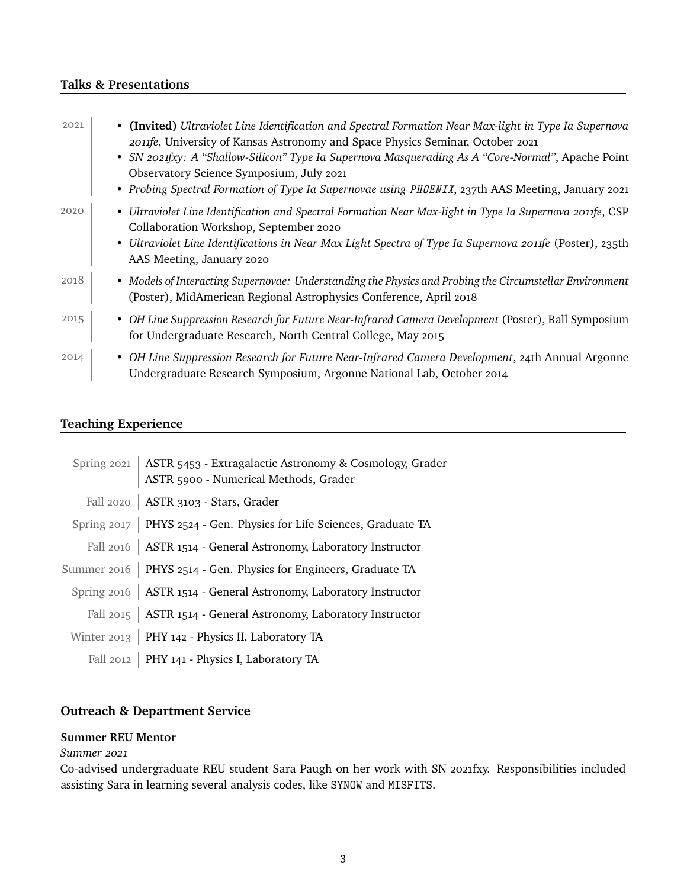## **Talks & Presentations**

| 2021 | • (Invited) Ultraviolet Line Identification and Spectral Formation Near Max-light in Type Ia Supernova<br>2011fe, University of Kansas Astronomy and Space Physics Seminar, October 2021<br>• SN 2021fxy: A "Shallow-Silicon" Type Ia Supernova Masquerading As A "Core-Normal", Apache Point<br>Observatory Science Symposium, July 2021<br>• Probing Spectral Formation of Type Ia Supernovae using PHOENIX, 237th AAS Meeting, January 2021 |
|------|------------------------------------------------------------------------------------------------------------------------------------------------------------------------------------------------------------------------------------------------------------------------------------------------------------------------------------------------------------------------------------------------------------------------------------------------|
| 2020 | • Ultraviolet Line Identification and Spectral Formation Near Max-light in Type Ia Supernova 2011fe, CSP<br>Collaboration Workshop, September 2020<br>• Ultraviolet Line Identifications in Near Max Light Spectra of Type Ia Supernova 2011fe (Poster), 235th<br>AAS Meeting, January 2020                                                                                                                                                    |
| 2018 | • Models of Interacting Supernovae: Understanding the Physics and Probing the Circumstellar Environment<br>(Poster), MidAmerican Regional Astrophysics Conference, April 2018                                                                                                                                                                                                                                                                  |
| 2015 | • OH Line Suppression Research for Future Near-Infrared Camera Development (Poster), Rall Symposium<br>for Undergraduate Research, North Central College, May 2015                                                                                                                                                                                                                                                                             |
| 2014 | • OH Line Suppression Research for Future Near-Infrared Camera Development, 24th Annual Argonne<br>Undergraduate Research Symposium, Argonne National Lab, October 2014                                                                                                                                                                                                                                                                        |

# **Teaching Experience**

| Spring 2021   ASTR 5453 - Extragalactic Astronomy & Cosmology, Grader   ASTR 5900 - Numerical Methods, Grader |
|---------------------------------------------------------------------------------------------------------------|
| Fall 2020   ASTR 3103 - Stars, Grader                                                                         |
| Spring 2017   PHYS 2524 - Gen. Physics for Life Sciences, Graduate TA                                         |
| Fall 2016   ASTR 1514 - General Astronomy, Laboratory Instructor                                              |
| Summer 2016   PHYS 2514 - Gen. Physics for Engineers, Graduate TA                                             |
| Spring 2016   ASTR 1514 - General Astronomy, Laboratory Instructor                                            |
| Fall 2015   ASTR 1514 - General Astronomy, Laboratory Instructor                                              |
| Winter $2013$   PHY 142 - Physics II, Laboratory TA                                                           |
| Fall 2012   PHY 141 - Physics I, Laboratory TA                                                                |

# **Outreach & Department Service**

# **Summer REU Mentor**

## *Summer 2021*

Co-advised undergraduate REU student Sara Paugh on her work with SN 2021fxy. Responsibilities included assisting Sara in learning several analysis codes, like SYNOW and MISFITS.